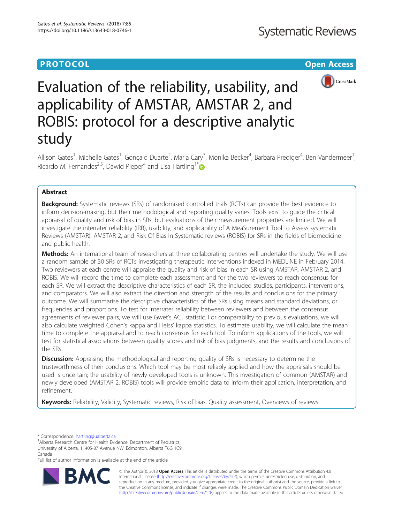# **PROTOCOL CONSUMING THE OPEN ACCESS**



# Evaluation of the reliability, usability, and applicability of AMSTAR, AMSTAR 2, and ROBIS: protocol for a descriptive analytic study

Allison Gates<sup>1</sup>, Michelle Gates<sup>1</sup>, Gonçalo Duarte<sup>2</sup>, Maria Cary<sup>3</sup>, Monika Becker<sup>4</sup>, Barbara Prediger<sup>4</sup>, Ben Vandermeer<sup>1</sup> , Ricardo M. Fernandes<sup>2,5</sup>, Dawid Pieper<sup>4</sup> and Lisa Hartling<sup>1\*</sup>

## Abstract

**Background:** Systematic reviews (SRs) of randomised controlled trials (RCTs) can provide the best evidence to inform decision-making, but their methodological and reporting quality varies. Tools exist to guide the critical appraisal of quality and risk of bias in SRs, but evaluations of their measurement properties are limited. We will investigate the interrater reliability (IRR), usability, and applicability of A MeaSurement Tool to Assess systematic Reviews (AMSTAR), AMSTAR 2, and Risk Of Bias In Systematic reviews (ROBIS) for SRs in the fields of biomedicine and public health.

Methods: An international team of researchers at three collaborating centres will undertake the study. We will use a random sample of 30 SRs of RCTs investigating therapeutic interventions indexed in MEDLINE in February 2014. Two reviewers at each centre will appraise the quality and risk of bias in each SR using AMSTAR, AMSTAR 2, and ROBIS. We will record the time to complete each assessment and for the two reviewers to reach consensus for each SR. We will extract the descriptive characteristics of each SR, the included studies, participants, interventions, and comparators. We will also extract the direction and strength of the results and conclusions for the primary outcome. We will summarise the descriptive characteristics of the SRs using means and standard deviations, or frequencies and proportions. To test for interrater reliability between reviewers and between the consensus agreements of reviewer pairs, we will use Gwet's  $AC<sub>1</sub>$  statistic. For comparability to previous evaluations, we will also calculate weighted Cohen's kappa and Fleiss' kappa statistics. To estimate usability, we will calculate the mean time to complete the appraisal and to reach consensus for each tool. To inform applications of the tools, we will test for statistical associations between quality scores and risk of bias judgments, and the results and conclusions of the SRs.

**Discussion:** Appraising the methodological and reporting quality of SRs is necessary to determine the trustworthiness of their conclusions. Which tool may be most reliably applied and how the appraisals should be used is uncertain; the usability of newly developed tools is unknown. This investigation of common (AMSTAR) and newly developed (AMSTAR 2, ROBIS) tools will provide empiric data to inform their application, interpretation, and refinement.

Keywords: Reliability, Validity, Systematic reviews, Risk of bias, Quality assessment, Overviews of reviews

\* Correspondence: [hartling@ualberta.ca](mailto:hartling@ualberta.ca) <sup>1</sup>

<sup>1</sup> Alberta Research Centre for Health Evidence, Department of Pediatrics University of Alberta, 11405-87 Avenue NW, Edmonton, Alberta T6G 1C9, Canada

Full list of author information is available at the end of the article



© The Author(s). 2018 Open Access This article is distributed under the terms of the Creative Commons Attribution 4.0 International License [\(http://creativecommons.org/licenses/by/4.0/](http://creativecommons.org/licenses/by/4.0/)), which permits unrestricted use, distribution, and reproduction in any medium, provided you give appropriate credit to the original author(s) and the source, provide a link to the Creative Commons license, and indicate if changes were made. The Creative Commons Public Domain Dedication waiver [\(http://creativecommons.org/publicdomain/zero/1.0/](http://creativecommons.org/publicdomain/zero/1.0/)) applies to the data made available in this article, unless otherwise stated.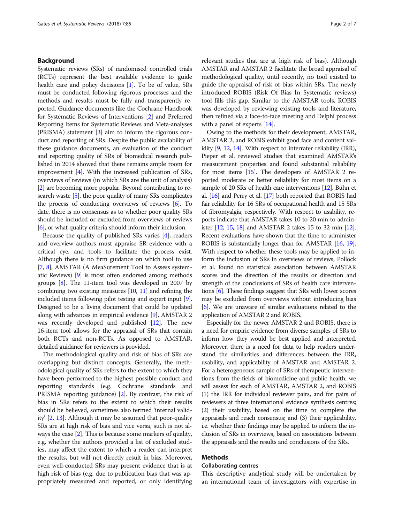#### Background

Systematic reviews (SRs) of randomised controlled trials (RCTs) represent the best available evidence to guide health care and policy decisions [[1](#page-5-0)]. To be of value, SRs must be conducted following rigorous processes and the methods and results must be fully and transparently reported. Guidance documents like the Cochrane Handbook for Systematic Reviews of Interventions [\[2\]](#page-5-0) and Preferred Reporting Items for Systematic Reviews and Meta-analyses (PRISMA) statement [\[3\]](#page-5-0) aim to inform the rigorous conduct and reporting of SRs. Despite the public availability of these guidance documents, an evaluation of the conduct and reporting quality of SRs of biomedical research published in 2014 showed that there remains ample room for improvement [\[4\]](#page-5-0). With the increased publication of SRs, overviews of reviews (in which SRs are the unit of analysis) [[2](#page-5-0)] are becoming more popular. Beyond contributing to research waste [\[5](#page-5-0)], the poor quality of many SRs complicates the process of conducting overviews of reviews [\[6](#page-5-0)]. To date, there is no consensus as to whether poor quality SRs should be included or excluded from overviews of reviews [[6](#page-5-0)], or what quality criteria should inform their inclusion.

Because the quality of published SRs varies [\[4\]](#page-5-0), readers and overview authors must appraise SR evidence with a critical eye, and tools to facilitate the process exist. Although there is no firm guidance on which tool to use [[7](#page-5-0), [8\]](#page-5-0), AMSTAR (A MeaSurement Tool to Assess systematic Reviews) [\[9\]](#page-5-0) is most often endorsed among methods groups [\[8](#page-5-0)]. The 11-item tool was developed in 2007 by combining two existing measures  $[10, 11]$  $[10, 11]$  $[10, 11]$  $[10, 11]$  and refining the included items following pilot testing and expert input [[9](#page-5-0)]. Designed to be a living document that could be updated along with advances in empirical evidence [\[9](#page-5-0)], AMSTAR 2 was recently developed and published [\[12](#page-5-0)]. The new 16-item tool allows for the appraisal of SRs that contain both RCTs and non-RCTs. As opposed to AMSTAR, detailed guidance for reviewers is provided.

The methodological quality and risk of bias of SRs are overlapping but distinct concepts. Generally, the methodological quality of SRs refers to the extent to which they have been performed to the highest possible conduct and reporting standards (e.g. Cochrane standards and PRISMA reporting guidance) [\[2](#page-5-0)]. By contrast, the risk of bias in SRs refers to the extent to which their results should be believed, sometimes also termed 'internal validity' [[2](#page-5-0), [13](#page-5-0)]. Although it may be assumed that poor-quality SRs are at high risk of bias and vice versa, such is not always the case [\[2](#page-5-0)]. This is because some markers of quality, e.g. whether the authors provided a list of excluded studies, may affect the extent to which a reader can interpret the results, but will not directly result in bias. Moreover, even well-conducted SRs may present evidence that is at high risk of bias (e.g. due to publication bias that was appropriately measured and reported, or only identifying

relevant studies that are at high risk of bias). Although AMSTAR and AMSTAR 2 facilitate the broad appraisal of methodological quality, until recently, no tool existed to guide the appraisal of risk of bias within SRs. The newly introduced ROBIS (Risk Of Bias In Systematic reviews) tool fills this gap. Similar to the AMSTAR tools, ROBIS was developed by reviewing existing tools and literature, then refined via a face-to-face meeting and Delphi process with a panel of experts [\[14\]](#page-5-0).

Owing to the methods for their development, AMSTAR, AMSTAR 2, and ROBIS exhibit good face and content validity [\[9,](#page-5-0) [12](#page-5-0), [14](#page-5-0)]. With respect to interrater reliability (IRR), Pieper et al. reviewed studies that examined AMSTAR's measurement properties and found substantial reliability for most items [\[15\]](#page-5-0). The developers of AMSTAR 2 reported moderate or better reliability for most items on a sample of 20 SRs of health care interventions [[12](#page-5-0)]. Bühn et al. [\[16\]](#page-5-0) and Perry et al. [\[17](#page-5-0)] both reported that ROBIS had fair reliability for 16 SRs of occupational health and 15 SRs of fibromyalgia, respectively. With respect to usability, reports indicate that AMSTAR takes 10 to 20 min to administer [[12](#page-5-0), [15](#page-5-0), [18\]](#page-5-0) and AMSTAR 2 takes 15 to 32 min [\[12](#page-5-0)]. Recent evaluations have shown that the time to administer ROBIS is substantially longer than for AMSTAR [[16](#page-5-0), [19](#page-5-0)]. With respect to whether these tools may be applied to inform the inclusion of SRs in overviews of reviews, Pollock et al. found no statistical association between AMSTAR scores and the direction of the results or direction and strength of the conclusions of SRs of health care interventions [[6](#page-5-0)]. These findings suggest that SRs with lower scores may be excluded from overviews without introducing bias [[6](#page-5-0)]. We are unaware of similar evaluations related to the application of AMSTAR 2 and ROBIS.

Especially for the newer AMSTAR 2 and ROBIS, there is a need for empiric evidence from diverse samples of SRs to inform how they would be best applied and interpreted. Moreover, there is a need for data to help readers understand the similarities and differences between the IRR, usability, and applicability of AMSTAR and AMSTAR 2. For a heterogeneous sample of SRs of therapeutic interventions from the fields of biomedicine and public health, we will assess for each of AMSTAR, AMSTAR 2, and ROBIS (1) the IRR for individual reviewer pairs, and for pairs of reviewers at three international evidence synthesis centres; (2) their usability, based on the time to complete the appraisals and reach consensus; and (3) their applicability, i.e. whether their findings may be applied to inform the inclusion of SRs in overviews, based on associations between the appraisals and the results and conclusions of the SRs.

#### Methods

### Collaborating centres

This descriptive analytical study will be undertaken by an international team of investigators with expertise in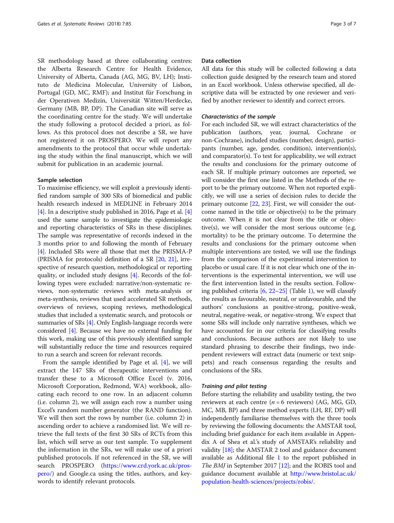SR methodology based at three collaborating centres: the Alberta Research Centre for Health Evidence, University of Alberta, Canada (AG, MG, BV, LH); Instituto de Medicina Molecular, University of Lisbon, Portugal (GD, MC, RMF); and Institut für Forschung in der Operativen Medizin, Universität Witten/Herdecke, Germany (MB, BP, DP). The Canadian site will serve as the coordinating centre for the study. We will undertake the study following a protocol decided a priori, as follows. As this protocol does not describe a SR, we have not registered it on PROSPERO. We will report any amendments to the protocol that occur while undertaking the study within the final manuscript, which we will submit for publication in an academic journal.

#### Sample selection

To maximise efficiency, we will exploit a previously identified random sample of 300 SRs of biomedical and public health research indexed in MEDLINE in February 2014 [[4\]](#page-5-0). In a descriptive study published in 2016, Page et al. [[4](#page-5-0)] used the same sample to investigate the epidemiologic and reporting characteristics of SRs in these disciplines. The sample was representative of records indexed in the 3 months prior to and following the month of February [[4\]](#page-5-0). Included SRs were all those that met the PRISMA-P (PRISMA for protocols) definition of a SR [[20](#page-5-0), [21\]](#page-5-0), irrespective of research question, methodological or reporting quality, or included study designs [\[4\]](#page-5-0). Records of the following types were excluded: narrative/non-systematic reviews, non-systematic reviews with meta-analysis or meta-synthesis, reviews that used accelerated SR methods, overviews of reviews, scoping reviews, methodological studies that included a systematic search, and protocols or summaries of SRs [[4](#page-5-0)]. Only English-language records were considered [\[4\]](#page-5-0). Because we have no external funding for this work, making use of this previously identified sample will substantially reduce the time and resources required to run a search and screen for relevant records.

From the sample identified by Page et al. [[4\]](#page-5-0), we will extract the 147 SRs of therapeutic interventions and transfer these to a Microsoft Office Excel (v. 2016, Microsoft Corporation, Redmond, WA) workbook, allocating each record to one row. In an adjacent column (i.e. column 2), we will assign each row a number using Excel's random number generator (the RAND function). We will then sort the rows by number (i.e. column 2) in ascending order to achieve a randomised list. We will retrieve the full texts of the first 30 SRs of RCTs from this list, which will serve as our test sample. To supplement the information in the SRs, we will make use of a priori published protocols. If not referenced in the SR, we will search PROSPERO ([https://www.crd.york.ac.uk/pros](https://www.crd.york.ac.uk/prospero/)[pero/\)](https://www.crd.york.ac.uk/prospero/) and Google.ca using the titles, authors, and keywords to identify relevant protocols.

#### Data collection

All data for this study will be collected following a data collection guide designed by the research team and stored in an Excel workbook. Unless otherwise specified, all descriptive data will be extracted by one reviewer and verified by another reviewer to identify and correct errors.

#### Characteristics of the sample

For each included SR, we will extract characteristics of the publication (authors, year, journal, Cochrane or non-Cochrane), included studies (number, design), participants (number, age, gender, condition), intervention(s), and comparator(s). To test for applicability, we will extract the results and conclusions for the primary outcome of each SR. If multiple primary outcomes are reported, we will consider the first one listed in the Methods of the report to be the primary outcome. When not reported explicitly, we will use a series of decision rules to decide the primary outcome  $[22, 23]$  $[22, 23]$  $[22, 23]$  $[22, 23]$  $[22, 23]$ . First, we will consider the outcome named in the title or objective(s) to be the primary outcome. When it is not clear from the title or objective(s), we will consider the most serious outcome (e.g. mortality) to be the primary outcome. To determine the results and conclusions for the primary outcome when multiple interventions are tested, we will use the findings from the comparison of the experimental intervention to placebo or usual care. If it is not clear which one of the interventions is the experimental intervention, we will use the first intervention listed in the results section. Following published criteria  $[6, 22-25]$  $[6, 22-25]$  $[6, 22-25]$  $[6, 22-25]$  $[6, 22-25]$  (Table [1\)](#page-3-0), we will classify the results as favourable, neutral, or unfavourable, and the authors' conclusions as positive-strong, positive-weak, neutral, negative-weak, or negative-strong. We expect that some SRs will include only narrative syntheses, which we have accounted for in our criteria for classifying results and conclusions. Because authors are not likely to use standard phrasing to describe their findings, two independent reviewers will extract data (numeric or text snippets) and reach consensus regarding the results and conclusions of the SRs.

#### Training and pilot testing

Before starting the reliability and usability testing, the two reviewers at each centre ( $n = 6$  reviewers) (AG, MG, GD, MC, MB, BP) and three method experts (LH, RF, DP) will independently familiarise themselves with the three tools by reviewing the following documents: the AMSTAR tool, including brief guidance for each item available in Appendix A of Shea et al.'s study of AMSTAR's reliability and validity [\[18](#page-5-0)]; the AMSTAR 2 tool and guidance document available as Additional file [1](#page-5-0) to the report published in The BMJ in September 2017 [[12](#page-5-0)]; and the ROBIS tool and guidance document available at [http://www.bristol.ac.uk/](http://www.bristol.ac.uk/population-health-sciences/projects/robis/) [population-health-sciences/projects/robis/.](http://www.bristol.ac.uk/population-health-sciences/projects/robis/)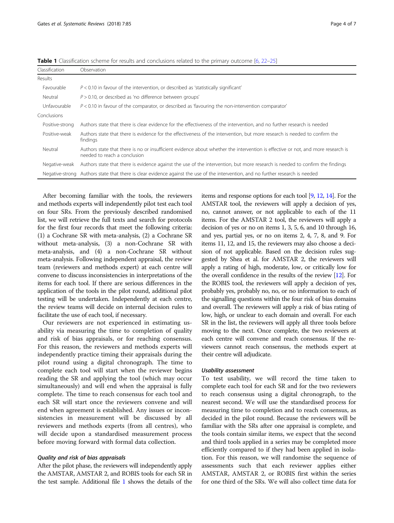| Classification  | Observation                                                                                                                                                      |
|-----------------|------------------------------------------------------------------------------------------------------------------------------------------------------------------|
| Results         |                                                                                                                                                                  |
| Favourable      | $P < 0.10$ in favour of the intervention, or described as 'statistically significant'                                                                            |
| Neutral         | $P > 0.10$ , or described as 'no difference between groups'                                                                                                      |
| Unfavourable    | $P < 0.10$ in favour of the comparator, or described as 'favouring the non-intervention comparator'                                                              |
| Conclusions     |                                                                                                                                                                  |
| Positive-strong | Authors state that there is clear evidence for the effectiveness of the intervention, and no further research is needed                                          |
| Positive-weak   | Authors state that there is evidence for the effectiveness of the intervention, but more research is needed to confirm the<br>findings                           |
| Neutral         | Authors state that there is no or insufficient evidence about whether the intervention is effective or not, and more research is<br>needed to reach a conclusion |
| Negative-weak   | Authors state that there is evidence against the use of the intervention, but more research is needed to confirm the findings                                    |
|                 | Negative-strong Authors state that there is clear evidence against the use of the intervention, and no further research is needed                                |

<span id="page-3-0"></span>Table 1 Classification scheme for results and conclusions related to the primary outcome [[6,](#page-5-0) [22](#page-6-0)-[25\]](#page-6-0)

After becoming familiar with the tools, the reviewers and methods experts will independently pilot test each tool on four SRs. From the previously described randomised list, we will retrieve the full texts and search for protocols for the first four records that meet the following criteria: (1) a Cochrane SR with meta-analysis, (2) a Cochrane SR without meta-analysis, (3) a non-Cochrane SR with meta-analysis, and (4) a non-Cochrane SR without meta-analysis. Following independent appraisal, the review team (reviewers and methods expert) at each centre will convene to discuss inconsistencies in interpretations of the items for each tool. If there are serious differences in the application of the tools in the pilot round, additional pilot testing will be undertaken. Independently at each centre, the review teams will decide on internal decision rules to facilitate the use of each tool, if necessary.

Our reviewers are not experienced in estimating usability via measuring the time to completion of quality and risk of bias appraisals, or for reaching consensus. For this reason, the reviewers and methods experts will independently practice timing their appraisals during the pilot round using a digital chronograph. The time to complete each tool will start when the reviewer begins reading the SR and applying the tool (which may occur simultaneously) and will end when the appraisal is fully complete. The time to reach consensus for each tool and each SR will start once the reviewers convene and will end when agreement is established. Any issues or inconsistencies in measurement will be discussed by all reviewers and methods experts (from all centres), who will decide upon a standardised measurement process before moving forward with formal data collection.

#### Quality and risk of bias appraisals

After the pilot phase, the reviewers will independently apply the AMSTAR, AMSTAR 2, and ROBIS tools for each SR in the test sample. Additional file [1](#page-5-0) shows the details of the items and response options for each tool [[9](#page-5-0), [12](#page-5-0), [14](#page-5-0)]. For the AMSTAR tool, the reviewers will apply a decision of yes, no, cannot answer, or not applicable to each of the 11 items. For the AMSTAR 2 tool, the reviewers will apply a decision of yes or no on items 1, 3, 5, 6, and 10 through 16, and yes, partial yes, or no on items 2, 4, 7, 8, and 9. For items 11, 12, and 15, the reviewers may also choose a decision of not applicable. Based on the decision rules suggested by Shea et al. for AMSTAR 2, the reviewers will apply a rating of high, moderate, low, or critically low for the overall confidence in the results of the review [\[12\]](#page-5-0). For the ROBIS tool, the reviewers will apply a decision of yes, probably yes, probably no, no, or no information to each of the signalling questions within the four risk of bias domains and overall. The reviewers will apply a risk of bias rating of low, high, or unclear to each domain and overall. For each SR in the list, the reviewers will apply all three tools before moving to the next. Once complete, the two reviewers at each centre will convene and reach consensus. If the reviewers cannot reach consensus, the methods expert at their centre will adjudicate.

#### Usability assessment

To test usability, we will record the time taken to complete each tool for each SR and for the two reviewers to reach consensus using a digital chronograph, to the nearest second. We will use the standardised process for measuring time to completion and to reach consensus, as decided in the pilot round. Because the reviewers will be familiar with the SRs after one appraisal is complete, and the tools contain similar items, we expect that the second and third tools applied in a series may be completed more efficiently compared to if they had been applied in isolation. For this reason, we will randomise the sequence of assessments such that each reviewer applies either AMSTAR, AMSTAR 2, or ROBIS first within the series for one third of the SRs. We will also collect time data for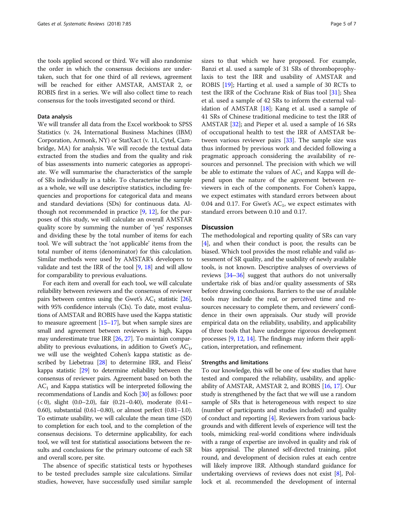the tools applied second or third. We will also randomise the order in which the consensus decisions are undertaken, such that for one third of all reviews, agreement will be reached for either AMSTAR, AMSTAR 2, or ROBIS first in a series. We will also collect time to reach consensus for the tools investigated second or third.

#### Data analysis

We will transfer all data from the Excel workbook to SPSS Statistics (v. 24, International Business Machines (IBM) Corporation, Armonk, NY) or StatXact (v. 11, Cytel, Cambridge, MA) for analysis. We will recode the textual data extracted from the studies and from the quality and risk of bias assessments into numeric categories as appropriate. We will summarise the characteristics of the sample of SRs individually in a table. To characterise the sample as a whole, we will use descriptive statistics, including frequencies and proportions for categorical data and means and standard deviations (SDs) for continuous data. Although not recommended in practice [[9,](#page-5-0) [12](#page-5-0)], for the purposes of this study, we will calculate an overall AMSTAR quality score by summing the number of 'yes' responses and dividing these by the total number of items for each tool. We will subtract the 'not applicable' items from the total number of items (denominator) for this calculation. Similar methods were used by AMSTAR's developers to validate and test the IRR of the tool [\[9](#page-5-0), [18\]](#page-5-0) and will allow for comparability to previous evaluations.

For each item and overall for each tool, we will calculate reliability between reviewers and the consensus of reviewer pairs between centres using the Gwet's  $AC<sub>1</sub>$  statistic [\[26](#page-6-0)], with 95% confidence intervals (CIs). To date, most evaluations of AMSTAR and ROBIS have used the Kappa statistic to measure agreement [\[15](#page-5-0)–[17\]](#page-5-0), but when sample sizes are small and agreement between reviewers is high, Kappa may underestimate true IRR [\[26,](#page-6-0) [27\]](#page-6-0). To maintain comparability to previous evaluations, in addition to Gwet's  $AC_1$ , we will use the weighted Cohen's kappa statistic as described by Liebetrau [\[28\]](#page-6-0) to determine IRR, and Fleiss' kappa statistic [\[29](#page-6-0)] to determine reliability between the consensus of reviewer pairs. Agreement based on both the  $AC<sub>1</sub>$  and Kappa statistics will be interpreted following the recommendations of Landis and Koch [[30\]](#page-6-0) as follows: poor (< 0), slight (0.0–2.0), fair (0.21–0.40), moderate (0.41– 0.60), substantial (0.61–0.80), or almost perfect (0.81–1.0). To estimate usability, we will calculate the mean time (SD) to completion for each tool, and to the completion of the consensus decisions. To determine applicability, for each tool, we will test for statistical associations between the results and conclusions for the primary outcome of each SR and overall score, per site.

The absence of specific statistical tests or hypotheses to be tested precludes sample size calculations. Similar studies, however, have successfully used similar sample sizes to that which we have proposed. For example, Banzi et al. used a sample of 31 SRs of thromboprophylaxis to test the IRR and usability of AMSTAR and ROBIS [\[19](#page-5-0)]; Harting et al. used a sample of 30 RCTs to test the IRR of the Cochrane Risk of Bias tool [\[31\]](#page-6-0); Shea et al. used a sample of 42 SRs to inform the external validation of AMSTAR [[18\]](#page-5-0); Kang et al. used a sample of 41 SRs of Chinese traditional medicine to test the IRR of AMSTAR [\[32\]](#page-6-0); and Pieper et al. used a sample of 16 SRs of occupational health to test the IRR of AMSTAR between various reviewer pairs [\[33\]](#page-6-0). The sample size was thus informed by previous work and decided following a pragmatic approach considering the availability of resources and personnel. The precision with which we will be able to estimate the values of  $AC_1$  and Kappa will depend upon the nature of the agreement between reviewers in each of the components. For Cohen's kappa, we expect estimates with standard errors between about 0.04 and 0.17. For Gwet's  $AC<sub>1</sub>$ , we expect estimates with standard errors between 0.10 and 0.17.

#### **Discussion**

The methodological and reporting quality of SRs can vary [[4\]](#page-5-0), and when their conduct is poor, the results can be biased. Which tool provides the most reliable and valid assessment of SR quality, and the usability of newly available tools, is not known. Descriptive analyses of overviews of reviews [\[34](#page-6-0)–[36](#page-6-0)] suggest that authors do not universally undertake risk of bias and/or quality assessments of SRs before drawing conclusions. Barriers to the use of available tools may include the real, or perceived time and resources necessary to complete them, and reviewers' confidence in their own appraisals. Our study will provide empirical data on the reliability, usability, and applicability of three tools that have undergone rigorous development processes [\[9](#page-5-0), [12,](#page-5-0) [14\]](#page-5-0). The findings may inform their application, interpretation, and refinement.

#### Strengths and limitations

To our knowledge, this will be one of few studies that have tested and compared the reliability, usability, and applicability of AMSTAR, AMSTAR 2, and ROBIS [\[16,](#page-5-0) [17](#page-5-0)]. Our study is strengthened by the fact that we will use a random sample of SRs that is heterogeneous with respect to size (number of participants and studies included) and quality of conduct and reporting [\[4](#page-5-0)]. Reviewers from various backgrounds and with different levels of experience will test the tools, mimicking real-world conditions where individuals with a range of expertise are involved in quality and risk of bias appraisal. The planned self-directed training, pilot round, and development of decision rules at each centre will likely improve IRR. Although standard guidance for undertaking overviews of reviews does not exist [\[8](#page-5-0)], Pollock et al. recommended the development of internal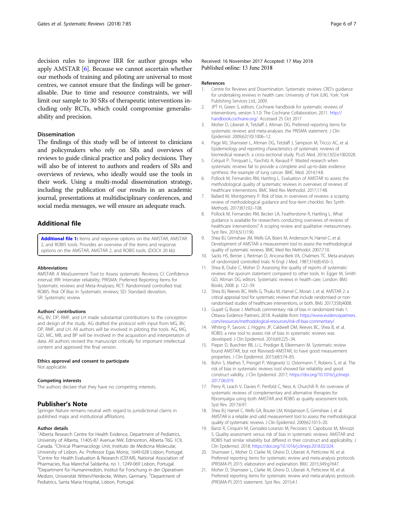<span id="page-5-0"></span>decision rules to improve IRR for author groups who apply AMSTAR [6]. Because we cannot ascertain whether our methods of training and piloting are universal to most centres, we cannot ensure that the findings will be generalisable. Due to time and resource constraints, we will limit our sample to 30 SRs of therapeutic interventions including only RCTs, which could compromise generalisability and precision.

#### Dissemination

The findings of this study will be of interest to clinicians and policymakers who rely on SRs and overviews of reviews to guide clinical practice and policy decisions. They will also be of interest to authors and readers of SRs and overviews of reviews, who ideally would use the tools in their work. Using a multi-modal dissemination strategy, including the publication of our results in an academic journal, presentations at multidisciplinary conferences, and social media messages, we will ensure an adequate reach.

#### Additional file

[Additional file 1:](https://doi.org/10.1186/s13643-018-0746-1) Items and response options on the AMSTAR, AMSTAR 2, and ROBIS tools. Provides an overview of the items and response options on the AMSTAR, AMSTAR 2, and ROBIS tools. (DOCX 20 kb)

#### Abbreviations

AMSTAR: A MeaSurement Tool to Assess systematic Reviews; CI: Confidence interval; IRR: Interrater reliability; PRISMA: Preferred Reporting Items for Systematic reviews and Meta-Analyses; RCT: Randomised controlled trial; ROBIS: Risk Of Bias In Systematic reviews; SD: Standard deviation; SR: Systematic review

#### Authors' contributions

AG, BV, DP, RMF, and LH made substantial contributions to the conception and design of the study. AG drafted the protocol with input from MG, BV, DP, RMF, and LH. All authors will be involved in piloting the tools. AG, MG, GD, MC, MB, and BP will be involved in the acquisition and interpretation of data. All authors revised the manuscript critically for important intellectual content and approved the final version.

#### Ethics approval and consent to participate Not applicable

#### Competing interests

The authors declare that they have no competing interests.

#### Publisher's Note

Springer Nature remains neutral with regard to jurisdictional claims in published maps and institutional affiliations.

#### Author details

<sup>1</sup> Alberta Research Centre for Health Evidence, Department of Pediatrics, University of Alberta, 11405-87 Avenue NW, Edmonton, Alberta T6G 1C9, Canada. <sup>2</sup>Clinical Pharmacology Unit, Instituto de Medicina Molecular, University of Lisbon, Av. Professor Egas Moniz, 1649-028 Lisbon, Portugal. <sup>3</sup>Centre for Health Evaluation & Research (CEFAR), National Association of Pharmacies, Rua Marechal Saldanha, no 1, 1249-069 Lisbon, Portugal. 4 Department für Humanmedizin, Institut für Forschung in der Operativen Medizin, Universität Witten/Herdecke, Witten, Germany. <sup>5</sup>Department of Pediatrics, Santa Maria Hospital, Lisbon, Portugal.

#### Received: 16 November 2017 Accepted: 17 May 2018 Published online: 13 June 2018

#### References

- 1. Centre for Reviews and Dissemination. Systematic reviews: CRD's guidance for undertaking reviews in health care: University of York (UK). York: York Publishing Services Ltd.; 2009.
- 2. JPT H, Green S, editors. Cochrane handbook for systematic reviews of interventions, version 5.1.0: The Cochrane Collaboration; 2011. [http://](http://handbook.cochrane.org/) [handbook.cochrane.org/.](http://handbook.cochrane.org/) Accessed 25 Oct 2017
- 3. Moher D, Liberati A, Tetzlaff J, Altman DG. Preferred reporting items for systematic reviews and meta-analyses: the PRISMA statement. J Clin Epidemiol. 2009;62(10):1006–12.
- Page MJ, Shamseer L, Altman DG, Tetzlaff J, Sampson M, Tricco AC, et al. Epidemiology and reporting characteristics of systematic reviews of biomedical research: a cross-sectional study. PLoS Med. 2016;13(5):e1002028.
- 5. Créquit P, Trinquart L, Yavchitz A, Ravaud P. Wasted research when systematic reviews fail to provide a complete and up-to-date evidence synthesis: the example of lung cancer. BMC Med. 2014;14:8.
- 6. Pollock M, Fernandes RM, Hartling L. Evaluation of AMSTAR to assess the methodological quality of systematic reviews in overviews of reviews of healthcare interventions. BMC Med Res Methodol. 2017;17:48.
- 7. Ballard M, Montgomery P. Risk of bias in overviews of reviews: a scoping review of methodological guidance and four-item checklist. Res Synth Methods. 2017;8(1):92–108.
- 8. Pollock M, Fernandes RM, Becker LA, Featherstone R, Hartling L. What guidance is available for researchers conducting overviews of reviews of healthcare interventions? A scoping review and qualitative metasummary. Syst Rev. 2016;5(1):190.
- 9. Shea BJ, Grimshaw JM, Wells GA, Boers M, Andersson N, Hamel C, et al. Development of AMSTAR: a measurement tool to assess the methodological quality of systematic reviews. BMC Med Res Methodol. 2007;7:10.
- 10. Sacks HS, Berrier J, Reitman D, Ancona-Berk VA, Chalmers TC. Meta-analyses of randomized controlled trials. N Engl J Med. 1987;316(8):450–5.
- 11. Shea B, Dube C, Moher D. Assessing the quality of reports of systematic reviews: the quorum statement compared to other tools. In: Egger M, Smith GD, Altman DG, editors. Systematic reviews in health care. London: BMJ Books; 2008. p. 122–39.
- 12. Shea BJ, Reeves BC, Wells G, Thuku M, Hamel C, Moran J, et al. AMSTAR 2: a critical appraisal tool for systematic reviews that include randomised or nonrandomised studies of healthcare interventions, or both. BMJ. 2017;358:j4008.
- 13. Guyatt G, Busse J. Methods commentary: risk of bias in randomized trials 1. Ottawa: Evidence Partners; 2018. Available from: [https://www.evidencepartners.](https://www.evidencepartners.com/resources/methodological-resources/risk-of-bias-commentary/) [com/resources/methodological-resources/risk-of-bias-commentary/](https://www.evidencepartners.com/resources/methodological-resources/risk-of-bias-commentary/).
- 14. Whiting P, Savovic J, Higgins JP, Caldwell DM, Reeves BC, Shea B, et al. ROBIS: a new tool to assess risk of bias in systematic reviews was developed. J Clin Epidemiol. 2016;69:225–34.
- 15. Pieper D, Buechter RB, Li L, Prediger B, Eikermann M. Systematic review found AMSTAR, but not R(evised)-AMSTAR, to have good measurement properties. J Clin Epidemiol. 2015;68:574–83.
- 16. Bühn S, Mathes T, Prengel P, Wegewitz U, Ostermann T, Robens S, et al. The risk of bias in systematic reviews tool showed fair reliability and good construct validity. J Clin Epidemiol. 2017; [https://doi.org/10.1016/j.jclinepi.](https://doi.org/10.1016/j.jclinepi.2017.06.019) [2017.06.019.](https://doi.org/10.1016/j.jclinepi.2017.06.019)
- 17. Perry R, Leach V, Davies P, Penfold C, Ness A, Churchill R. An overview of systematic reviews of complementary and alternative therapies for fibromyalgia using both AMSTAR and ROBIS as quality assessment tools. Syst Rev. 2017;6:97.
- 18. Shea BJ, Hamel C, Wells GA, Bouter LM, Kristjansson E, Grimshaw J, et al. AMSTAR is a reliable and valid measurement tool to assess the methodological quality of systematic reviews. J Clin Epidemiol. 2009;62:1013–20.
- 19. Banzi R, Cinquini M, Gonzalez-Loranzo M, Pecoraro V, Capobussi M, Minozzi S. Quality assessment versus risk of bias in systematic reviews: AMSTAR and ROBIS had similar reliability but differed in their construct and applicability. J Clin Epidemiol. 2018; <https://doi.org/10.1016/j.clinepi.2018.02.024>.
- 20. Shamseer L, Moher D, Clarke M, Ghersi D, Liberati A, Petticrew M, et al. Preferred reporting items for systematic review and meta-analysis protocols (PRISMA-P) 2015: elaboration and explanation. BMJ. 2015;349:g7647.
- 21. Moher D, Shamseer L, Clarke M, Ghersi D, Liberati A, Petticrew M, et al. Preferred reporting items for systematic review and meta-analysis protocols (PRISMA-P) 2015 statement. Syst Rev. 2015;4:1.